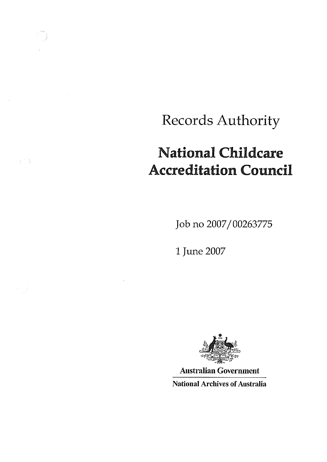# Records Authority

## National Childcare Accreditation Council

Job no 2007/00263775

1 June 2007

 $\mathbb{C}^2$ 



Australian Government National Archives of Australia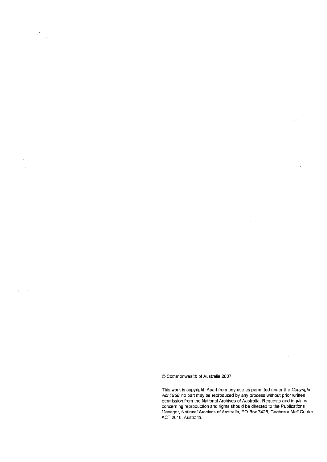gini<br>Ali

 $\sim 10^{-1}$ 

 $\mathcal{L}^{\pm}(\mathcal{A})$ 

 $\mathcal{A}^{\mathcal{A}}$ 

© Commonwealth of Australia 2007

This work is copyright. Apart from any use as permitted under the Copyright<br>Act 1968 no part may be reproduced by any process without prior written permission from the National Archives of Australia. Requests and inquiries concerning reproduction and rights should be directed to the Publications Manager, National Archives of Australia, PO Box 7425, Canberra Mail Centre ACT 2610, Australia.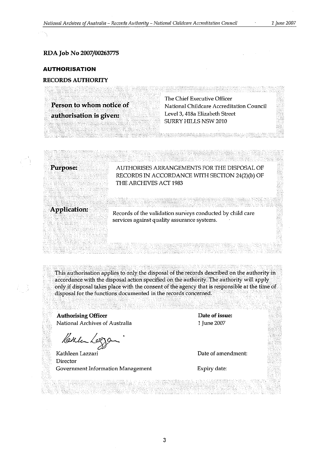#### **RDAJob No 2007/00263775**

#### **AUTHORISATION**

#### **RECORDS AUTHORITY**

**Person to whom notice of authorisation is given:**

The Chief Executive Officer National Childcare Accreditation Council Level 3, 418a Elizabeth Street SURRY HILLS NSW 2010

de electrónico de la componentación de la componentación de la componentación de la componentación de la compo<br>Componentación de la componentación de la componentación de la componentación de la componentación de la compo

**Purpose:**

AUTHORISES ARRANGEMENTS FOR THE DISPOSAL OF RECORDS IN ACCORDANCE WITH SECTION 24(2)(b) OF THE ARCHIVES ACT 1983

**Application:**

Records of the validation surveys conducted by child care services against quality assurance systems.

This authorisation applies to only the disposal of the records described on the authority in accordance with the disposal action specified on the authority. The authority will apply only if disposal takes place with the consent of the agency that is responsible at the time of disposal for the functions documented in the records concerned.

**Authorising Officer** National Archives **of** Australia

Kathle Log

Director Government Information Management

Date **of**issue: 1 June 2007

Date of amendment:

Expiry date: